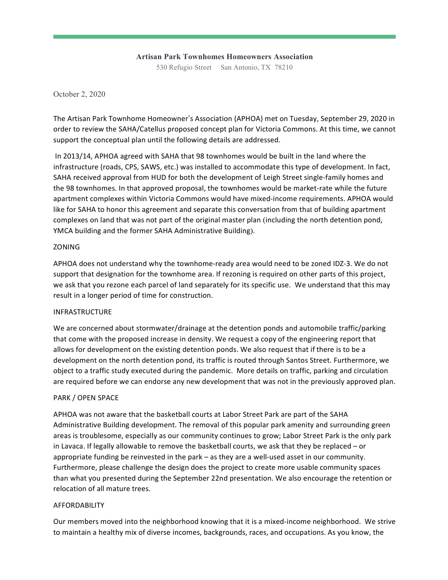# **Artisan Park Townhomes Homeowners Association**

530 Refugio Street San Antonio, TX 78210

October 2, 2020

The Artisan Park Townhome Homeowner's Association (APHOA) met on Tuesday, September 29, 2020 in order to review the SAHA/Catellus proposed concept plan for Victoria Commons. At this time, we cannot support the conceptual plan until the following details are addressed.

In 2013/14, APHOA agreed with SAHA that 98 townhomes would be built in the land where the infrastructure (roads, CPS, SAWS, etc.) was installed to accommodate this type of development. In fact, SAHA received approval from HUD for both the development of Leigh Street single-family homes and the 98 townhomes. In that approved proposal, the townhomes would be market-rate while the future apartment complexes within Victoria Commons would have mixed-income requirements. APHOA would like for SAHA to honor this agreement and separate this conversation from that of building apartment complexes on land that was not part of the original master plan (including the north detention pond, YMCA building and the former SAHA Administrative Building).

## ZONING

APHOA does not understand why the townhome-ready area would need to be zoned IDZ-3. We do not support that designation for the townhome area. If rezoning is required on other parts of this project, we ask that you rezone each parcel of land separately for its specific use. We understand that this may result in a longer period of time for construction.

# INFRASTRUCTURE

We are concerned about stormwater/drainage at the detention ponds and automobile traffic/parking that come with the proposed increase in density. We request a copy of the engineering report that allows for development on the existing detention ponds. We also request that if there is to be a development on the north detention pond, its traffic is routed through Santos Street. Furthermore, we object to a traffic study executed during the pandemic. More details on traffic, parking and circulation are required before we can endorse any new development that was not in the previously approved plan.

# PARK / OPEN SPACE

APHOA was not aware that the basketball courts at Labor Street Park are part of the SAHA Administrative Building development. The removal of this popular park amenity and surrounding green areas is troublesome, especially as our community continues to grow; Labor Street Park is the only park in Lavaca. If legally allowable to remove the basketball courts, we ask that they be replaced – or appropriate funding be reinvested in the park – as they are a well-used asset in our community. Furthermore, please challenge the design does the project to create more usable community spaces than what you presented during the September 22nd presentation. We also encourage the retention or relocation of all mature trees.

# AFFORDABILITY

Our members moved into the neighborhood knowing that it is a mixed-income neighborhood. We strive to maintain a healthy mix of diverse incomes, backgrounds, races, and occupations. As you know, the